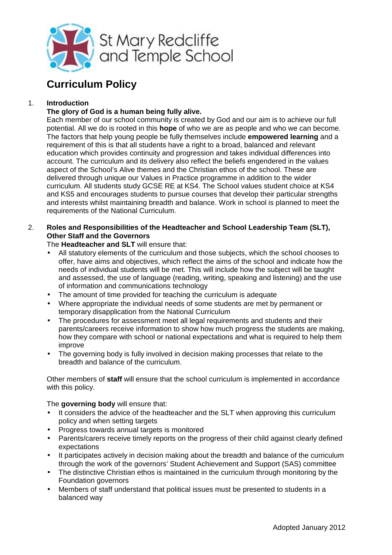

# **Curriculum Policy**

# 1. **Introduction**

## **The glory of God is a human being fully alive.**

Each member of our school community is created by God and our aim is to achieve our full potential. All we do is rooted in this **hope** of who we are as people and who we can become. The factors that help young people be fully themselves include **empowered learning** and a requirement of this is that all students have a right to a broad, balanced and relevant education which provides continuity and progression and takes individual differences into account. The curriculum and its delivery also reflect the beliefs engendered in the values aspect of the School's Alive themes and the Christian ethos of the school. These are delivered through unique our Values in Practice programme in addition to the wider curriculum. All students study GCSE RE at KS4. The School values student choice at KS4 and KS5 and encourages students to pursue courses that develop their particular strengths and interests whilst maintaining breadth and balance. Work in school is planned to meet the requirements of the National Curriculum.

# 2. **Roles and Responsibilities of the Headteacher and School Leadership Team (SLT), Other Staff and the Governors**

The **Headteacher and SLT** will ensure that:

- All statutory elements of the curriculum and those subjects, which the school chooses to offer, have aims and objectives, which reflect the aims of the school and indicate how the needs of individual students will be met. This will include how the subject will be taught and assessed, the use of language (reading, writing, speaking and listening) and the use of information and communications technology
- The amount of time provided for teaching the curriculum is adequate
- Where appropriate the individual needs of some students are met by permanent or temporary disapplication from the National Curriculum
- The procedures for assessment meet all legal requirements and students and their parents/careers receive information to show how much progress the students are making, how they compare with school or national expectations and what is required to help them improve
- The governing body is fully involved in decision making processes that relate to the breadth and balance of the curriculum.

Other members of **staff** will ensure that the school curriculum is implemented in accordance with this policy.

### The **governing body** will ensure that:

- It considers the advice of the headteacher and the SLT when approving this curriculum policy and when setting targets
- Progress towards annual targets is monitored
- Parents/carers receive timely reports on the progress of their child against clearly defined expectations
- It participates actively in decision making about the breadth and balance of the curriculum through the work of the governors' Student Achievement and Support (SAS) committee
- The distinctive Christian ethos is maintained in the curriculum through monitoring by the Foundation governors
- Members of staff understand that political issues must be presented to students in a balanced way